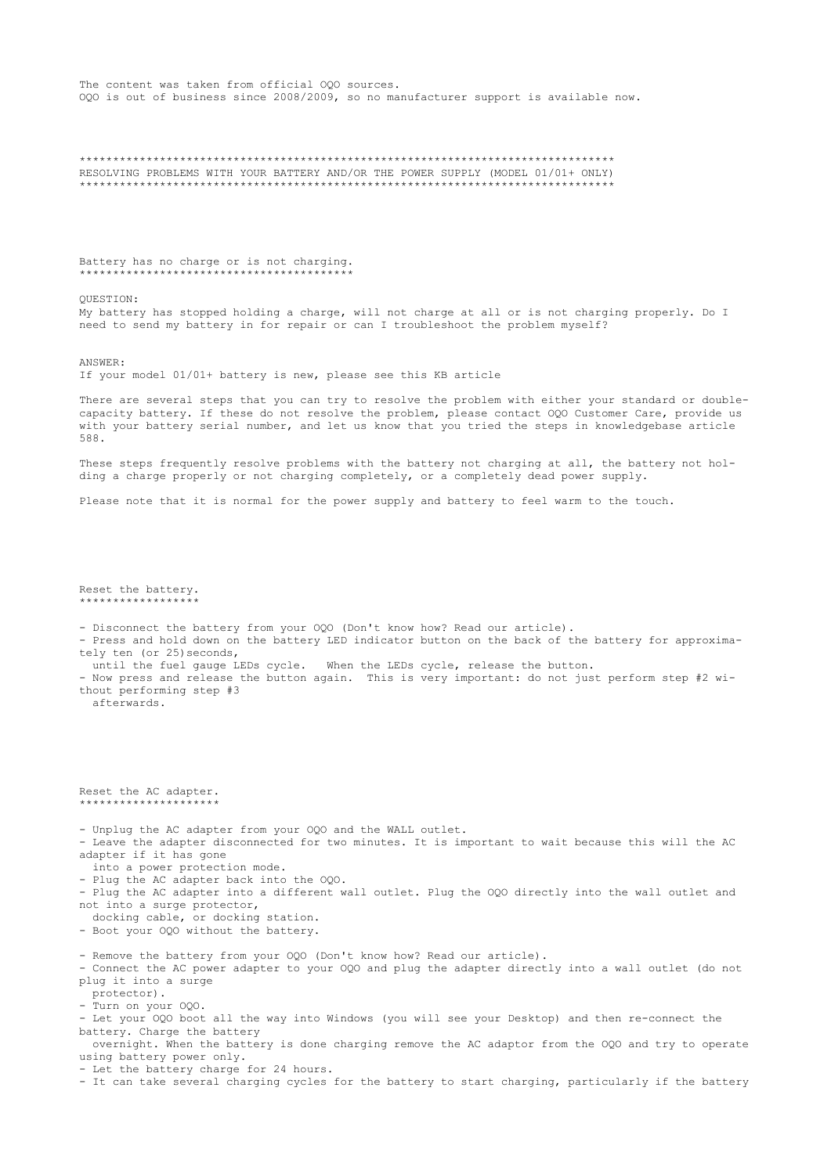The content was taken from official OQO sources. OQO is out of business since 2008/2009, so no manufacturer support is available now.

RESOLVING PROBLEMS WITH YOUR BATTERY AND/OR THE POWER SUPPLY (MODEL 01/01+ ONLY) \*\*\*\*\*\*\*\*\*\*\*\*\*\*\*\*\*\*\*\*\*  $***$ \*\*\*\*\*\*\*\*\*\*\*\*

Battery has no charge or is not charging. \*\*\*\*\*\*\*\*\*\*\*\*\*\*\*\*\*\*\*\*\*\*\*\*\*\*\*\*\*\*\*\*\*\*\*\*

OUESTION:

My battery has stopped holding a charge, will not charge at all or is not charging properly. Do I need to send my battery in for repair or can I troubleshoot the problem myself?

ANSWER:

Reset the battery. -<br>\* \* \* \* \* \* \* \* \* \* \* \* \* \* \* \*

afterwards.

tely ten (or 25) seconds,

thout performing step #3

If your model 01/01+ battery is new, please see this KB article

There are several steps that you can try to resolve the problem with either your standard or doublecapacity battery. If these do not resolve the problem, please contact OQO Customer Care, provide us with your battery serial number, and let us know that you tried the steps in knowledgebase article 588

These steps frequently resolve problems with the battery not charging at all, the battery not holding a charge properly or not charging completely, or a completely dead power supply.

- Press and hold down on the battery LED indicator button on the back of the battery for approxima-

- Now press and release the button again. This is very important: do not just perform step #2 wi-

Please note that it is normal for the power supply and battery to feel warm to the touch.

- Disconnect the battery from your OQO (Don't know how? Read our article).

until the fuel gauge LEDs cycle. When the LEDs cycle, release the button.

Reset the AC adapter. \*\*\*\*\*\*\*\*\*\*\*\*\*\*\*\*\*\*\*\* - Unplug the AC adapter from your OQO and the WALL outlet. - Leave the adapter disconnected for two minutes. It is important to wait because this will the AC adapter if it has gone into a power protection mode. - Plug the AC adapter back into the 000. Plug the AC adapter into a different wall outlet. Plug the OQO directly into the wall outlet and not into a surge protector, docking cable, or docking station. - Boot your OQO without the battery. - Remove the battery from your 000 (Don't know how? Read our article). - Connect the AC power adapter to your OQO and plug the adapter directly into a wall outlet (do not plug it into a surge protector). - Turn on your 000. - Let your OQO boot all the way into Windows (you will see your Desktop) and then re-connect the battery. Charge the battery overnight. When the battery is done charging remove the AC adaptor from the OQO and try to operate using battery power only.

- Let the battery charge for 24 hours.

- It can take several charging cycles for the battery to start charging, particularly if the battery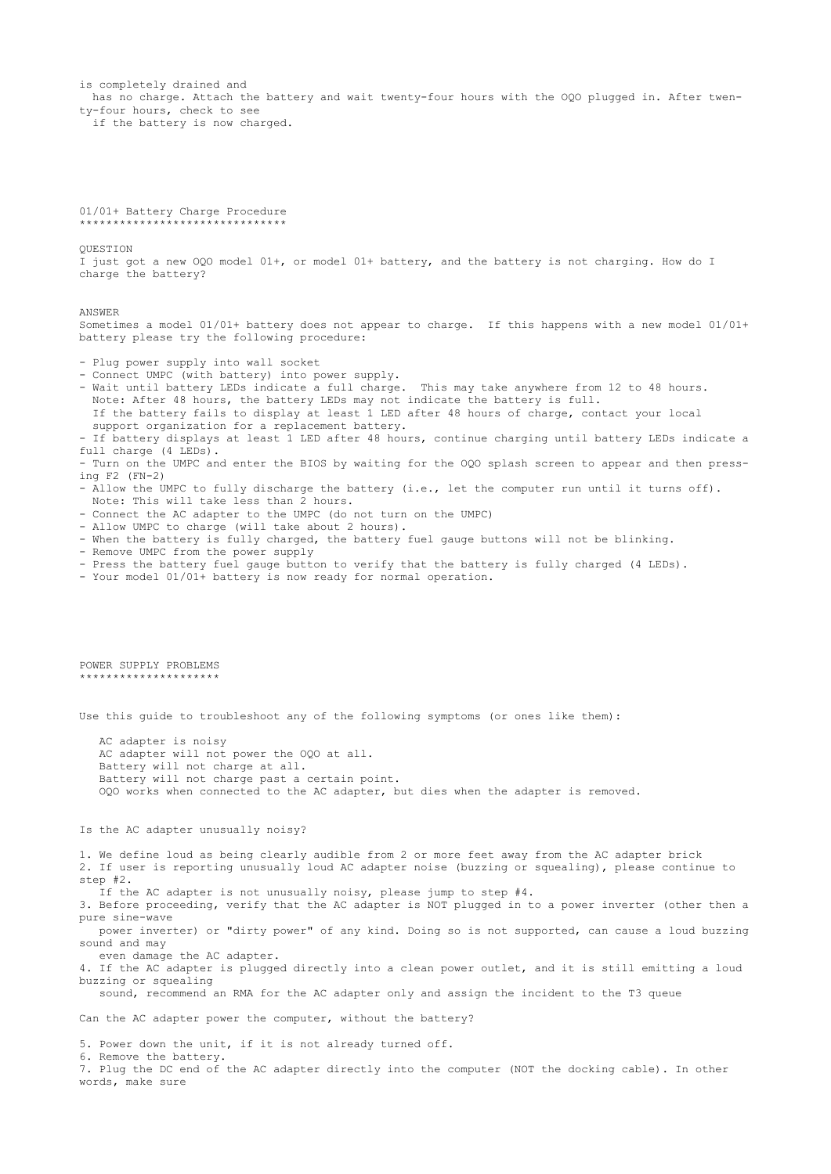is completely drained and has no charge. Attach the battery and wait twenty-four hours with the OQO plugged in. After twenty-four hours, check to see if the battery is now charged. 01/01+ Battery Charge Procedure \*\*\*\*\*\*\*\*\*\*\*\*\*\*\*\*\*\*\*\*\*\*\*\*\*\*\*\*\*\*\* QUESTION I just got a new OQO model 01+, or model 01+ battery, and the battery is not charging. How do I charge the battery? ANSWER Sometimes a model 01/01+ battery does not appear to charge. If this happens with a new model 01/01+ battery please try the following procedure: - Plug power supply into wall socket - Connect UMPC (with battery) into power supply. - Wait until battery LEDs indicate a full charge. This may take anywhere from 12 to 48 hours. Note: After 48 hours, the battery LEDs may not indicate the battery is full. If the battery fails to display at least 1 LED after 48 hours of charge, contact your local support organization for a replacement battery. - If battery displays at least 1 LED after 48 hours, continue charging until battery LEDs indicate a full charge (4 LEDs). - Turn on the UMPC and enter the BIOS by waiting for the OQO splash screen to appear and then pressing F2 (FN-2) - Allow the UMPC to fully discharge the battery (i.e., let the computer run until it turns off). Note: This will take less than 2 hours. - Connect the AC adapter to the UMPC (do not turn on the UMPC) - Allow UMPC to charge (will take about 2 hours). - When the battery is fully charged, the battery fuel gauge buttons will not be blinking. - Remove UMPC from the power supply - Press the battery fuel gauge button to verify that the battery is fully charged (4 LEDs). - Your model 01/01+ battery is now ready for normal operation. POWER SUPPLY PROBLEMS \*\*\*\*\*\*\*\*\*\*\*\*\*\*\*\*\*\*\*\*\* Use this guide to troubleshoot any of the following symptoms (or ones like them): AC adapter is noisy AC adapter will not power the OQO at all. Battery will not charge at all. Battery will not charge past a certain point. OQO works when connected to the AC adapter, but dies when the adapter is removed. Is the AC adapter unusually noisy? 1. We define loud as being clearly audible from 2 or more feet away from the AC adapter brick 2. If user is reporting unusually loud AC adapter noise (buzzing or squealing), please continue to step #2. If the AC adapter is not unusually noisy, please jump to step #4. 3. Before proceeding, verify that the AC adapter is NOT plugged in to a power inverter (other then a pure sine-wave power inverter) or "dirty power" of any kind. Doing so is not supported, can cause a loud buzzing sound and may even damage the AC adapter. 4. If the AC adapter is plugged directly into a clean power outlet, and it is still emitting a loud buzzing or squealing sound, recommend an RMA for the AC adapter only and assign the incident to the T3 queue Can the AC adapter power the computer, without the battery? 5. Power down the unit, if it is not already turned off. 6. Remove the battery.

7. Plug the DC end of the AC adapter directly into the computer (NOT the docking cable). In other words, make sure